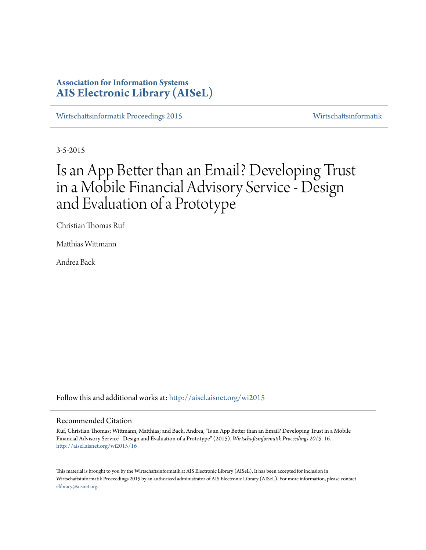# **Association for Information Systems [AIS Electronic Library \(AISeL\)](http://aisel.aisnet.org?utm_source=aisel.aisnet.org%2Fwi2015%2F16&utm_medium=PDF&utm_campaign=PDFCoverPages)**

[Wirtschaftsinformatik Proceedings 2015](http://aisel.aisnet.org/wi2015?utm_source=aisel.aisnet.org%2Fwi2015%2F16&utm_medium=PDF&utm_campaign=PDFCoverPages) [Wirtschaftsinformatik](http://aisel.aisnet.org/wi?utm_source=aisel.aisnet.org%2Fwi2015%2F16&utm_medium=PDF&utm_campaign=PDFCoverPages)

3-5-2015

# Is an App Better than an Email? Developing Trust in a Mobile Financial Advisory Service - Design and Evaluation of a Prototype

Christian Thomas Ruf

Matthias Wittmann

Andrea Back

Follow this and additional works at: [http://aisel.aisnet.org/wi2015](http://aisel.aisnet.org/wi2015?utm_source=aisel.aisnet.org%2Fwi2015%2F16&utm_medium=PDF&utm_campaign=PDFCoverPages)

#### Recommended Citation

Ruf, Christian Thomas; Wittmann, Matthias; and Back, Andrea, "Is an App Better than an Email? Developing Trust in a Mobile Financial Advisory Service - Design and Evaluation of a Prototype" (2015). *Wirtschaftsinformatik Proceedings 2015*. 16. [http://aisel.aisnet.org/wi2015/16](http://aisel.aisnet.org/wi2015/16?utm_source=aisel.aisnet.org%2Fwi2015%2F16&utm_medium=PDF&utm_campaign=PDFCoverPages)

This material is brought to you by the Wirtschaftsinformatik at AIS Electronic Library (AISeL). It has been accepted for inclusion in Wirtschaftsinformatik Proceedings 2015 by an authorized administrator of AIS Electronic Library (AISeL). For more information, please contact [elibrary@aisnet.org.](mailto:elibrary@aisnet.org%3E)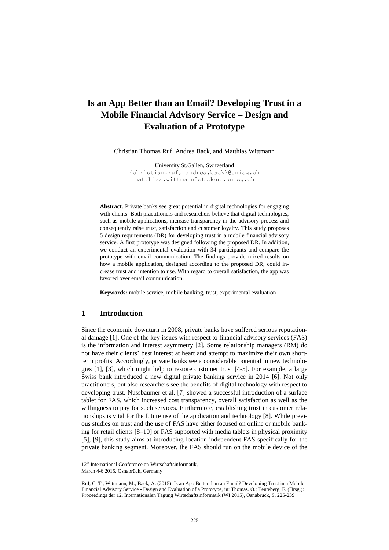# **Is an App Better than an Email? Developing Trust in a Mobile Financial Advisory Service – Design and Evaluation of a Prototype**

Christian Thomas Ruf, Andrea Back, and Matthias Wittmann

University St.Gallen, Switzerland [{christian.ruf, andrea.back}@unisg.ch](mailto:christian.ruf@unisg.ch) matthias.wittmann@student.unisg.ch

**Abstract.** Private banks see great potential in digital technologies for engaging with clients. Both practitioners and researchers believe that digital technologies, such as mobile applications, increase transparency in the advisory process and consequently raise trust, satisfaction and customer loyalty. This study proposes 5 design requirements (DR) for developing trust in a mobile financial advisory service. A first prototype was designed following the proposed DR. In addition, we conduct an experimental evaluation with 34 participants and compare the prototype with email communication. The findings provide mixed results on how a mobile application, designed according to the proposed DR, could increase trust and intention to use. With regard to overall satisfaction, the app was favored over email communication.

**Keywords:** mobile service, mobile banking, trust, experimental evaluation

#### **1 Introduction**

Since the economic downturn in 2008, private banks have suffered serious reputational damage [1]. One of the key issues with respect to financial advisory services (FAS) is the information and interest asymmetry [2]. Some relationship managers (RM) do not have their clients' best interest at heart and attempt to maximize their own shortterm profits. Accordingly, private banks see a considerable potential in new technologies [1], [3], which might help to restore customer trust [4-5]. For example, a large Swiss bank introduced a new digital private banking service in 2014 [6]. Not only practitioners, but also researchers see the benefits of digital technology with respect to developing trust. Nussbaumer et al. [7] showed a successful introduction of a surface tablet for FAS, which increased cost transparency, overall satisfaction as well as the willingness to pay for such services. Furthermore, establishing trust in customer relationships is vital for the future use of the application and technology [8]. While previous studies on trust and the use of FAS have either focused on online or mobile banking for retail clients [8–10] or FAS supported with media tablets in physical proximity [5], [9], this study aims at introducing location-independent FAS specifically for the private banking segment. Moreover, the FAS should run on the mobile device of the

<sup>12&</sup>lt;sup>th</sup> International Conference on Wirtschaftsinformatik,

March 4-6 2015, Osnabrück, Germany

Ruf, C. T.; Wittmann, M.; Back, A. (2015): Is an App Better than an Email? Developing Trust in a Mobile Financial Advisory Service - Design and Evaluation of a Prototype, in: Thomas. O.; Teuteberg, F. (Hrsg.): Proceedings der 12. Internationalen Tagung Wirtschaftsinformatik (WI 2015), Osnabrück, S. 225-239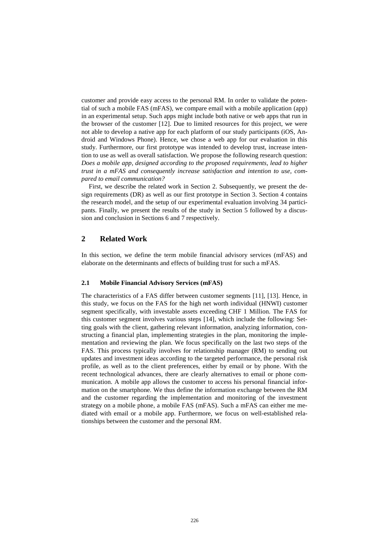customer and provide easy access to the personal RM. In order to validate the potential of such a mobile FAS (mFAS), we compare email with a mobile application (app) in an experimental setup. Such apps might include both native or web apps that run in the browser of the customer [12]. Due to limited resources for this project, we were not able to develop a native app for each platform of our study participants (iOS, Android and Windows Phone). Hence, we chose a web app for our evaluation in this study. Furthermore, our first prototype was intended to develop trust, increase intention to use as well as overall satisfaction. We propose the following research question: *Does a mobile app, designed according to the proposed requirements, lead to higher trust in a mFAS and consequently increase satisfaction and intention to use, compared to email communication?*

First, we describe the related work in Section 2. Subsequently, we present the design requirements (DR) as well as our first prototype in Section 3. Section 4 contains the research model, and the setup of our experimental evaluation involving 34 participants. Finally, we present the results of the study in Section 5 followed by a discussion and conclusion in Sections 6 and 7 respectively.

#### **2 Related Work**

In this section, we define the term mobile financial advisory services (mFAS) and elaborate on the determinants and effects of building trust for such a mFAS.

#### **2.1 Mobile Financial Advisory Services (mFAS)**

The characteristics of a FAS differ between customer segments [11], [13]. Hence, in this study, we focus on the FAS for the high net worth individual (HNWI) customer segment specifically, with investable assets exceeding CHF 1 Million. The FAS for this customer segment involves various steps [14], which include the following: Setting goals with the client, gathering relevant information, analyzing information, constructing a financial plan, implementing strategies in the plan, monitoring the implementation and reviewing the plan. We focus specifically on the last two steps of the FAS. This process typically involves for relationship manager (RM) to sending out updates and investment ideas according to the targeted performance, the personal risk profile, as well as to the client preferences, either by email or by phone. With the recent technological advances, there are clearly alternatives to email or phone communication. A mobile app allows the customer to access his personal financial information on the smartphone. We thus define the information exchange between the RM and the customer regarding the implementation and monitoring of the investment strategy on a mobile phone, a mobile FAS (mFAS). Such a mFAS can either me mediated with email or a mobile app. Furthermore, we focus on well-established relationships between the customer and the personal RM.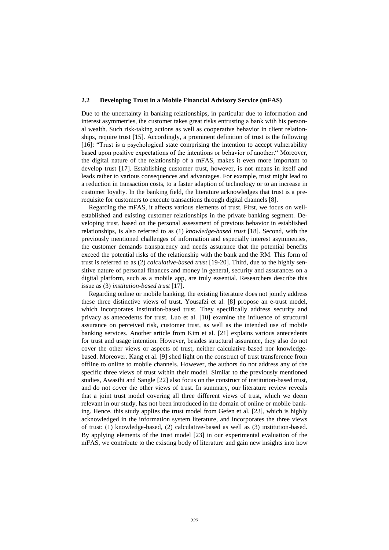#### **2.2 Developing Trust in a Mobile Financial Advisory Service (mFAS)**

Due to the uncertainty in banking relationships, in particular due to information and interest asymmetries, the customer takes great risks entrusting a bank with his personal wealth. Such risk-taking actions as well as cooperative behavior in client relationships, require trust [15]. Accordingly, a prominent definition of trust is the following [16]: "Trust is a psychological state comprising the intention to accept vulnerability based upon positive expectations of the intentions or behavior of another." Moreover, the digital nature of the relationship of a mFAS, makes it even more important to develop trust [17]. Establishing customer trust, however, is not means in itself and leads rather to various consequences and advantages. For example, trust might lead to a reduction in transaction costs, to a faster adaption of technology or to an increase in customer loyalty. In the banking field, the literature acknowledges that trust is a prerequisite for customers to execute transactions through digital channels [8].

Regarding the mFAS, it affects various elements of trust. First, we focus on wellestablished and existing customer relationships in the private banking segment. Developing trust, based on the personal assessment of previous behavior in established relationships, is also referred to as (1) *knowledge-based trust* [18]. Second, with the previously mentioned challenges of information and especially interest asymmetries, the customer demands transparency and needs assurance that the potential benefits exceed the potential risks of the relationship with the bank and the RM. This form of trust is referred to as (2) *calculative-based trust* [19-20]. Third, due to the highly sensitive nature of personal finances and money in general, security and assurances on a digital platform, such as a mobile app, are truly essential. Researchers describe this issue as (3) *institution-based trust* [17].

Regarding online or mobile banking, the existing literature does not jointly address these three distinctive views of trust. Yousafzi et al. [8] propose an e-trust model, which incorporates institution-based trust. They specifically address security and privacy as antecedents for trust. Luo et al. [10] examine the influence of structural assurance on perceived risk, customer trust, as well as the intended use of mobile banking services. Another article from Kim et al. [21] explains various antecedents for trust and usage intention. However, besides structural assurance, they also do not cover the other views or aspects of trust, neither calculative-based nor knowledgebased. Moreover, Kang et al. [9] shed light on the construct of trust transference from offline to online to mobile channels. However, the authors do not address any of the specific three views of trust within their model. Similar to the previously mentioned studies, Awasthi and Sangle [22] also focus on the construct of institution-based trust, and do not cover the other views of trust. In summary, our literature review reveals that a joint trust model covering all three different views of trust, which we deem relevant in our study, has not been introduced in the domain of online or mobile banking. Hence, this study applies the trust model from Gefen et al. [23], which is highly acknowledged in the information system literature, and incorporates the three views of trust: (1) knowledge-based, (2) calculative-based as well as (3) institution-based. By applying elements of the trust model [23] in our experimental evaluation of the mFAS, we contribute to the existing body of literature and gain new insights into how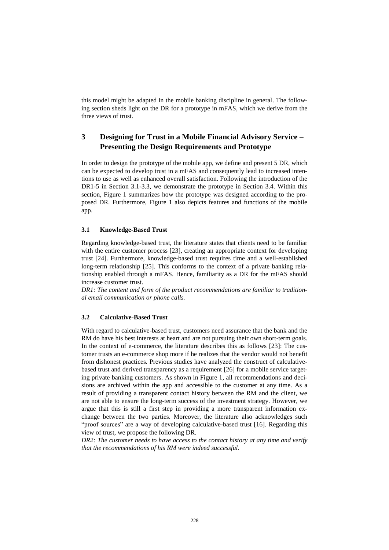this model might be adapted in the mobile banking discipline in general. The following section sheds light on the DR for a prototype in mFAS, which we derive from the three views of trust.

# **3 Designing for Trust in a Mobile Financial Advisory Service – Presenting the Design Requirements and Prototype**

In order to design the prototype of the mobile app, we define and present 5 DR, which can be expected to develop trust in a mFAS and consequently lead to increased intentions to use as well as enhanced overall satisfaction. Following the introduction of the DR1-5 in Section 3.1-3.3, we demonstrate the prototype in Section 3.4. Within this section, Figure 1 summarizes how the prototype was designed according to the proposed DR. Furthermore, Figure 1 also depicts features and functions of the mobile app.

#### **3.1 Knowledge-Based Trust**

Regarding knowledge-based trust, the literature states that clients need to be familiar with the entire customer process [23], creating an appropriate context for developing trust [24]. Furthermore, knowledge-based trust requires time and a well-established long-term relationship [25]. This conforms to the context of a private banking relationship enabled through a mFAS. Hence, familiarity as a DR for the mFAS should increase customer trust.

DR1: The content and form of the product recommendations are familiar to tradition*al email communication or phone calls.* 

#### **3.2 Calculative-Based Trust**

With regard to calculative-based trust, customers need assurance that the bank and the RM do have his best interests at heart and are not pursuing their own short-term goals. In the context of e-commerce, the literature describes this as follows [23]: The customer trusts an e-commerce shop more if he realizes that the vendor would not benefit from dishonest practices. Previous studies have analyzed the construct of calculativebased trust and derived transparency as a requirement [26] for a mobile service targeting private banking customers. As shown in Figure 1, all recommendations and decisions are archived within the app and accessible to the customer at any time. As a result of providing a transparent contact history between the RM and the client, we are not able to ensure the long-term success of the investment strategy. However, we argue that this is still a first step in providing a more transparent information exchange between the two parties. Moreover, the literature also acknowledges such "proof sources" are a way of developing calculative-based trust [16]. Regarding this view of trust, we propose the following DR.

*DR2: The customer needs to have access to the contact history at any time and verify that the recommendations of his RM were indeed successful.*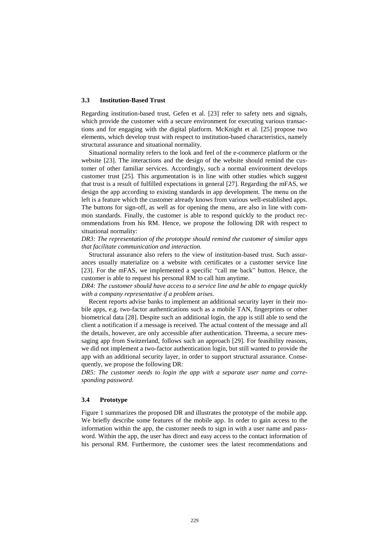#### **3.3 Institution-Based Trust**

Regarding institution-based trust, Gefen et al. [23] refer to safety nets and signals, which provide the customer with a secure environment for executing various transactions and for engaging with the digital platform. McKnight et al. [25] propose two elements, which develop trust with respect to institution-based characteristics, namely structural assurance and situational normality.

Situational normality refers to the look and feel of the e-commerce platform or the website [23]. The interactions and the design of the website should remind the customer of other familiar services. Accordingly, such a normal environment develops customer trust [25]. This argumentation is in line with other studies which suggest that trust is a result of fulfilled expectations in general [27]. Regarding the mFAS, we design the app according to existing standards in app development. The menu on the left is a feature which the customer already knows from various well-established apps. The buttons for sign-off, as well as for opening the menu, are also in line with common standards. Finally, the customer is able to respond quickly to the product recommendations from his RM. Hence, we propose the following DR with respect to situational normality:

*DR3: The representation of the prototype should remind the customer of similar apps that facilitate communication and interaction.*

Structural assurance also refers to the view of institution-based trust. Such assurances usually materialize on a website with certificates or a customer service line [23]. For the mFAS, we implemented a specific "call me back" button. Hence, the customer is able to request his personal RM to call him anytime.

*DR4: The customer should have access to a service line and be able to engage quickly with a company representative if a problem arises.* 

Recent reports advise banks to implement an additional security layer in their mobile apps, e.g. two-factor authentications such as a mobile TAN, fingerprints or other biometrical data [28]. Despite such an additional login, the app is still able to send the client a notification if a message is received. The actual content of the message and all the details, however, are only accessible after authentication. Threema, a secure messaging app from Switzerland, follows such an approach [29]. For feasibility reasons, we did not implement a two-factor authentication login, but still wanted to provide the app with an additional security layer, in order to support structural assurance. Consequently, we propose the following DR:

*DR5: The customer needs to login the app with a separate user name and corresponding password.* 

#### **3.4 Prototype**

Figure 1 summarizes the proposed DR and illustrates the prototype of the mobile app. We briefly describe some features of the mobile app. In order to gain access to the information within the app, the customer needs to sign in with a user name and password. Within the app, the user has direct and easy access to the contact information of his personal RM. Furthermore, the customer sees the latest recommendations and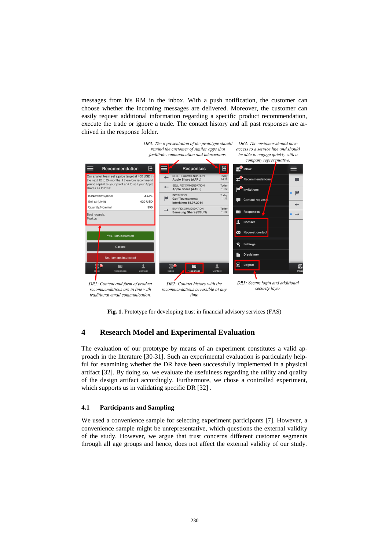messages from his RM in the inbox. With a push notification, the customer can choose whether the incoming messages are delivered. Moreover, the customer can easily request additional information regarding a specific product recommendation, execute the trade or ignore a trade. The contact history and all past responses are archived in the response folder.



**Fig. 1.** Prototype for developing trust in financial advisory services (FAS)

# **4 Research Model and Experimental Evaluation**

The evaluation of our prototype by means of an experiment constitutes a valid approach in the literature [30-31]. Such an experimental evaluation is particularly helpful for examining whether the DR have been successfully implemented in a physical artifact [32]. By doing so, we evaluate the usefulness regarding the utility and quality of the design artifact accordingly. Furthermore, we chose a controlled experiment, which supports us in validating specific DR [32].

#### **4.1 Participants and Sampling**

We used a convenience sample for selecting experiment participants [7]. However, a convenience sample might be unrepresentative, which questions the external validity of the study. However, we argue that trust concerns different customer segments through all age groups and hence, does not affect the external validity of our study.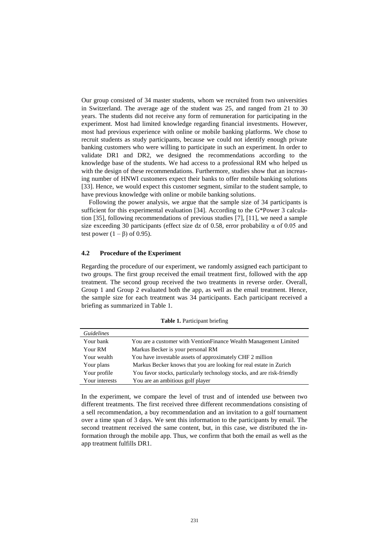Our group consisted of 34 master students, whom we recruited from two universities in Switzerland. The average age of the student was 25, and ranged from 21 to 30 years. The students did not receive any form of remuneration for participating in the experiment. Most had limited knowledge regarding financial investments. However, most had previous experience with online or mobile banking platforms. We chose to recruit students as study participants, because we could not identify enough private banking customers who were willing to participate in such an experiment. In order to validate DR1 and DR2, we designed the recommendations according to the knowledge base of the students. We had access to a professional RM who helped us with the design of these recommendations. Furthermore, studies show that an increasing number of HNWI customers expect their banks to offer mobile banking solutions [33]. Hence, we would expect this customer segment, similar to the student sample, to have previous knowledge with online or mobile banking solutions.

Following the power analysis, we argue that the sample size of 34 participants is sufficient for this experimental evaluation [34]. According to the G\*Power 3 calculation [35], following recommendations of previous studies [7], [11], we need a sample size exceeding 30 participants (effect size dz of 0.58, error probability  $\alpha$  of 0.05 and test power  $(1 - \beta)$  of 0.95).

#### **4.2 Procedure of the Experiment**

Regarding the procedure of our experiment, we randomly assigned each participant to two groups. The first group received the email treatment first, followed with the app treatment. The second group received the two treatments in reverse order. Overall, Group 1 and Group 2 evaluated both the app, as well as the email treatment. Hence, the sample size for each treatment was 34 participants. Each participant received a briefing as summarized in Table 1.

| <b>Guidelines</b> |                                                                         |
|-------------------|-------------------------------------------------------------------------|
| Your bank         | You are a customer with VentionFinance Wealth Management Limited        |
| Your RM           | Markus Becker is your personal RM                                       |
| Your wealth       | You have investable assets of approximately CHF 2 million               |
| Your plans        | Markus Becker knows that you are looking for real estate in Zurich      |
| Your profile      | You favor stocks, particularly technology stocks, and are risk-friendly |
| Your interests    | You are an ambitious golf player                                        |

**Table 1.** Participant briefing

In the experiment, we compare the level of trust and of intended use between two different treatments. The first received three different recommendations consisting of a sell recommendation, a buy recommendation and an invitation to a golf tournament over a time span of 3 days. We sent this information to the participants by email. The second treatment received the same content, but, in this case, we distributed the information through the mobile app. Thus, we confirm that both the email as well as the app treatment fulfills DR1.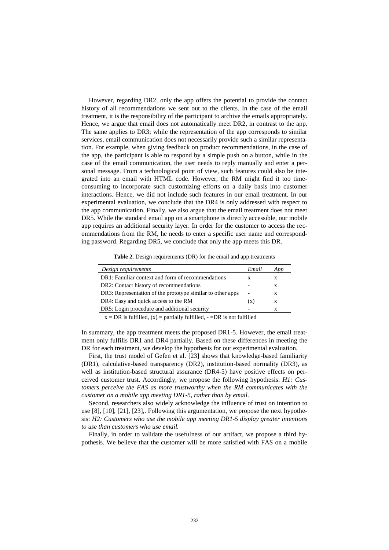However, regarding DR2, only the app offers the potential to provide the contact history of all recommendations we sent out to the clients. In the case of the email treatment, it is the responsibility of the participant to archive the emails appropriately. Hence, we argue that email does not automatically meet DR2, in contrast to the app. The same applies to DR3; while the representation of the app corresponds to similar services, email communication does not necessarily provide such a similar representation. For example, when giving feedback on product recommendations, in the case of the app, the participant is able to respond by a simple push on a button, while in the case of the email communication, the user needs to reply manually and enter a personal message. From a technological point of view, such features could also be integrated into an email with HTML code. However, the RM might find it too timeconsuming to incorporate such customizing efforts on a daily basis into customer interactions. Hence, we did not include such features in our email treatment. In our experimental evaluation, we conclude that the DR4 is only addressed with respect to the app communication. Finally, we also argue that the email treatment does not meet DR5. While the standard email app on a smartphone is directly accessible, our mobile app requires an additional security layer. In order for the customer to access the recommendations from the RM, he needs to enter a specific user name and corresponding password. Regarding DR5, we conclude that only the app meets this DR.

**Table 2.** Design requirements (DR) for the email and app treatments

| Design requirements                                                                                                                                                                                                                                                                                                                                                                            | Email | App |  |  |  |
|------------------------------------------------------------------------------------------------------------------------------------------------------------------------------------------------------------------------------------------------------------------------------------------------------------------------------------------------------------------------------------------------|-------|-----|--|--|--|
| DR1: Familiar context and form of recommendations                                                                                                                                                                                                                                                                                                                                              |       |     |  |  |  |
| DR2: Contact history of recommendations                                                                                                                                                                                                                                                                                                                                                        |       | X   |  |  |  |
| DR3: Representation of the prototype similar to other apps                                                                                                                                                                                                                                                                                                                                     | ۰     | X   |  |  |  |
| DR4: Easy and quick access to the RM                                                                                                                                                                                                                                                                                                                                                           |       | X   |  |  |  |
| DR5: Login procedure and additional security                                                                                                                                                                                                                                                                                                                                                   |       |     |  |  |  |
| $\mathbf{D} \mathbf{D}$ $\mathbf{C}$ $\mathbf{C}$ $\mathbf{C}$ $\mathbf{D}$ $\mathbf{C}$ $\mathbf{C}$ $\mathbf{C}$ $\mathbf{C}$ $\mathbf{C}$ $\mathbf{C}$ $\mathbf{C}$ $\mathbf{C}$ $\mathbf{C}$ $\mathbf{C}$ $\mathbf{C}$ $\mathbf{C}$ $\mathbf{C}$ $\mathbf{C}$ $\mathbf{C}$ $\mathbf{C}$ $\mathbf{C}$ $\mathbf{C}$ $\mathbf{C}$<br>nn :<br>$\sim$ $\sim$ $\sim$ $\sim$ $\sim$ $\sim$ $\sim$ |       |     |  |  |  |

 $x = DR$  is fulfilled,  $(x) =$  partially fulfilled,  $-$  =DR is not fulfilled

In summary, the app treatment meets the proposed DR1-5. However, the email treatment only fulfills DR1 and DR4 partially. Based on these differences in meeting the DR for each treatment, we develop the hypothesis for our experimental evaluation.

First, the trust model of Gefen et al. [23] shows that knowledge-based familiarity (DR1), calculative-based transparency (DR2), institution-based normality (DR3), as well as institution-based structural assurance (DR4-5) have positive effects on perceived customer trust. Accordingly, we propose the following hypothesis: *H1: Customers perceive the FAS as more trustworthy when the RM communicates with the customer on a mobile app meeting DR1-5, rather than by email.* 

Second, researchers also widely acknowledge the influence of trust on intention to use [8], [10], [21], [23],. Following this argumentation, we propose the next hypothesis: *H2: Customers who use the mobile app meeting DR1-5 display greater intentions to use than customers who use email.* 

Finally, in order to validate the usefulness of our artifact, we propose a third hypothesis. We believe that the customer will be more satisfied with FAS on a mobile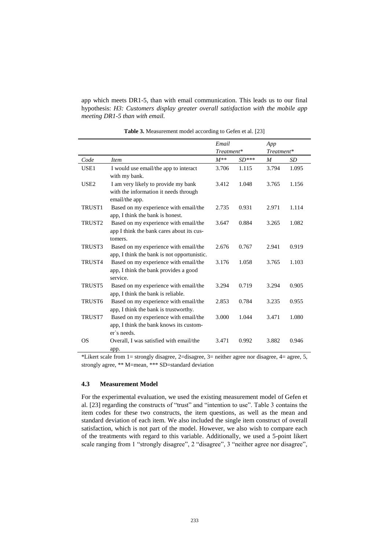app which meets DR1-5, than with email communication. This leads us to our final hypothesis: *H3: Customers display greater overall satisfaction with the mobile app meeting DR1-5 than with email.*

|                    |                                             | Email      |         | App        |       |
|--------------------|---------------------------------------------|------------|---------|------------|-------|
|                    |                                             | Treatment* |         | Treatment* |       |
| Code               | <i>Item</i>                                 | $M^{**}$   | $SD***$ | M          | SD    |
| USE <sub>1</sub>   | I would use email/the app to interact       | 3.706      | 1.115   | 3.794      | 1.095 |
|                    | with my bank.                               |            |         |            |       |
| USE <sub>2</sub>   | I am very likely to provide my bank         | 3.412      | 1.048   | 3.765      | 1.156 |
|                    | with the information it needs through       |            |         |            |       |
|                    | email/the app.                              |            |         |            |       |
| TRUST1             | Based on my experience with email/the       | 2.735      | 0.931   | 2.971      | 1.114 |
|                    | app, I think the bank is honest.            |            |         |            |       |
| TRUST <sub>2</sub> | Based on my experience with email/the       | 3.647      | 0.884   | 3.265      | 1.082 |
|                    | app I think the bank cares about its cus-   |            |         |            |       |
|                    | tomers.                                     |            |         |            |       |
| TRUST3             | Based on my experience with email/the       | 2.676      | 0.767   | 2.941      | 0.919 |
|                    | app, I think the bank is not opportunistic. |            |         |            |       |
| TRUST4             | Based on my experience with email/the       | 3.176      | 1.058   | 3.765      | 1.103 |
|                    | app, I think the bank provides a good       |            |         |            |       |
|                    | service.                                    |            |         |            |       |
| TRUST5             | Based on my experience with email/the       | 3.294      | 0.719   | 3.294      | 0.905 |
|                    | app, I think the bank is reliable.          |            |         |            |       |
| TRUST <sub>6</sub> | Based on my experience with email/the       | 2.853      | 0.784   | 3.235      | 0.955 |
|                    | app, I think the bank is trustworthy.       |            |         |            |       |
| TRUST7             | Based on my experience with email/the       | 3.000      | 1.044   | 3.471      | 1.080 |
|                    | app, I think the bank knows its custom-     |            |         |            |       |
|                    | er's needs.                                 |            |         |            |       |
| <b>OS</b>          | Overall, I was satisfied with email/the     | 3.471      | 0.992   | 3.882      | 0.946 |
|                    | app.                                        |            |         |            |       |

**Table 3.** Measurement model according to Gefen et al. [23]

\*Likert scale from 1= strongly disagree, 2=disagree, 3= neither agree nor disagree, 4= agree, 5, strongly agree, \*\* M=mean, \*\*\* SD=standard deviation

#### **4.3 Measurement Model**

For the experimental evaluation, we used the existing measurement model of Gefen et al. [23] regarding the constructs of "trust" and "intention to use". Table 3 contains the item codes for these two constructs, the item questions, as well as the mean and standard deviation of each item. We also included the single item construct of overall satisfaction, which is not part of the model. However, we also wish to compare each of the treatments with regard to this variable. Additionally, we used a 5-point likert scale ranging from 1 "strongly disagree", 2 "disagree", 3 "neither agree nor disagree",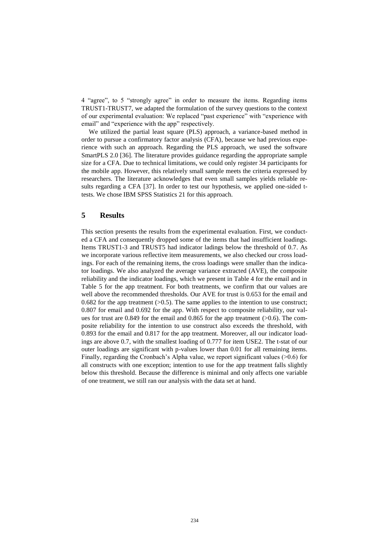4 "agree", to 5 "strongly agree" in order to measure the items. Regarding items TRUST1-TRUST7, we adapted the formulation of the survey questions to the context of our experimental evaluation: We replaced "past experience" with "experience with email" and "experience with the app" respectively.

We utilized the partial least square (PLS) approach, a variance-based method in order to pursue a confirmatory factor analysis (CFA), because we had previous experience with such an approach. Regarding the PLS approach, we used the software SmartPLS 2.0 [36]. The literature provides guidance regarding the appropriate sample size for a CFA. Due to technical limitations, we could only register 34 participants for the mobile app. However, this relatively small sample meets the criteria expressed by researchers. The literature acknowledges that even small samples yields reliable results regarding a CFA [37]. In order to test our hypothesis, we applied one-sided ttests. We chose IBM SPSS Statistics 21 for this approach.

#### **5 Results**

This section presents the results from the experimental evaluation. First, we conducted a CFA and consequently dropped some of the items that had insufficient loadings. Items TRUST1-3 and TRUST5 had indicator ladings below the threshold of 0.7. As we incorporate various reflective item measurements, we also checked our cross loadings. For each of the remaining items, the cross loadings were smaller than the indicator loadings. We also analyzed the average variance extracted (AVE), the composite reliability and the indicator loadings, which we present in Table 4 for the email and in Table 5 for the app treatment. For both treatments, we confirm that our values are well above the recommended thresholds. Our AVE for trust is 0.653 for the email and 0.682 for the app treatment  $(>0.5)$ . The same applies to the intention to use construct; 0.807 for email and 0.692 for the app. With respect to composite reliability, our values for trust are  $0.849$  for the email and  $0.865$  for the app treatment ( $>0.6$ ). The composite reliability for the intention to use construct also exceeds the threshold, with 0.893 for the email and 0.817 for the app treatment. Moreover, all our indicator loadings are above 0.7, with the smallest loading of 0.777 for item USE2. The t-stat of our outer loadings are significant with p-values lower than 0.01 for all remaining items. Finally, regarding the Cronbach's Alpha value, we report significant values ( $>0.6$ ) for all constructs with one exception; intention to use for the app treatment falls slightly below this threshold. Because the difference is minimal and only affects one variable of one treatment, we still ran our analysis with the data set at hand.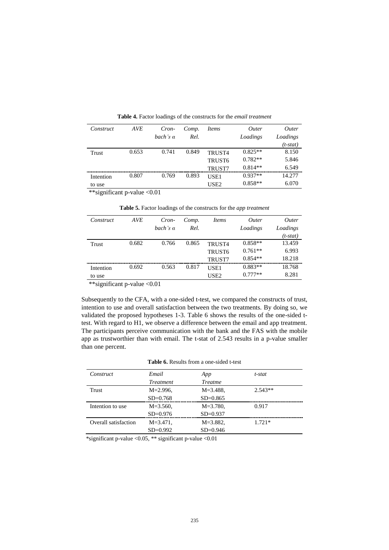| Construct | <b>AVE</b> | Cron-           | Comp. | <i>Items</i>       | Outer     | <i><u>Outer</u></i> |
|-----------|------------|-----------------|-------|--------------------|-----------|---------------------|
|           |            | bach's $\alpha$ | Rel.  |                    | Loadings  | Loadings            |
|           |            |                 |       |                    |           | (t-stat)            |
| Trust     | 0.653      | 0.741           | 0.849 | TRUST4             | $0.825**$ | 8.150               |
|           |            |                 |       | TRUST <sub>6</sub> | $0.782**$ | 5.846               |
|           |            |                 |       | <b>TRUST7</b>      | $0.814**$ | 6.549               |
| Intention | 0.807      | 0.769           | 0.893 | USE1               | $0.937**$ | 14.277              |
| to use    |            |                 |       | USE <sub>2</sub>   | $0.858**$ | 6.070               |

**Table 4.** Factor loadings of the constructs for the *email treatment*

\*\*significant p-value <0.01

**Table 5.** Factor loadings of the constructs for the *app treatment*

| Construct    | <b>AVE</b> | Cron-           | Comp. | <i>Items</i>       | <i>Outer</i> | <i><u>Outer</u></i> |
|--------------|------------|-----------------|-------|--------------------|--------------|---------------------|
|              |            | bach's $\alpha$ | Rel.  |                    | Loadings     | Loadings            |
|              |            |                 |       |                    |              | $(t-stat)$          |
| <b>Trust</b> | 0.682      | 0.766           | 0.865 | TRUST4             | $0.858**$    | 13.459              |
|              |            |                 |       | TRUST <sub>6</sub> | $0.761**$    | 6.993               |
|              |            |                 |       | TRUST7             | $0.854**$    | 18.218              |
| Intention    | 0.692      | 0.563           | 0.817 | USE1               | $0.883**$    | 18.768              |
| to use       |            |                 |       | USE2               | $0.777**$    | 8.281               |

\*\*significant p-value <0.01

Subsequently to the CFA, with a one-sided t-test, we compared the constructs of trust, intention to use and overall satisfaction between the two treatments. By doing so, we validated the proposed hypotheses 1-3. Table 6 shows the results of the one-sided ttest. With regard to H1, we observe a difference between the email and app treatment. The participants perceive communication with the bank and the FAS with the mobile app as trustworthier than with email. The t-stat of 2.543 results in a p-value smaller than one percent.

#### **Table 6.** Results from a one-sided t-test

| Construct            | Email         | App            | t-stat    |  |
|----------------------|---------------|----------------|-----------|--|
|                      | Treatment     | <b>Treatme</b> |           |  |
| Trust                | $M = 2.996$ , | $M = 3.488$ ,  | $2.543**$ |  |
|                      | $SD=0.768$    | $SD = 0.865$   |           |  |
| Intention to use     | $M = 3.560$ , | $M = 3.780$ ,  | 0.917     |  |
|                      | $SD = 0.976$  | $SD = 0.937$   |           |  |
| Overall satisfaction | $M = 3.471$ , | $M = 3.882$ ,  | $1.721*$  |  |
|                      | $SD=0.992$    | $SD = 0.946$   |           |  |

\*significant p-value <0.05, \*\* significant p-value <0.01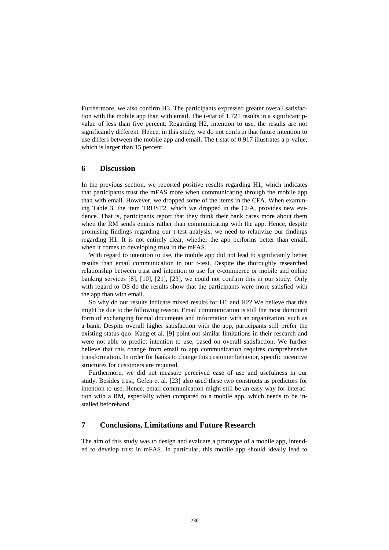Furthermore, we also confirm H3. The participants expressed greater overall satisfaction with the mobile app than with email. The t-stat of 1.721 results in a significant pvalue of less than five percent. Regarding H2, intention to use, the results are not significantly different. Hence, in this study, we do not confirm that future intention to use differs between the mobile app and email. The t-stat of 0.917 illustrates a p-value, which is larger than 15 percent.

# **6 Discussion**

In the previous section, we reported positive results regarding H1, which indicates that participants trust the mFAS more when communicating through the mobile app than with email. However, we dropped some of the items in the CFA. When examining Table 3, the item TRUST2, which we dropped in the CFA, provides new evidence. That is, participants report that they think their bank cares more about them when the RM sends emails rather than communicating with the app. Hence, despite promising findings regarding our t-test analysis, we need to relativize our findings regarding H1. It is not entirely clear, whether the app performs better than email, when it comes to developing trust in the mFAS.

With regard to intention to use, the mobile app did not lead to significantly better results than email communication in our t-test. Despite the thoroughly researched relationship between trust and intention to use for e-commerce or mobile and online banking services [8], [10], [21], [23], we could not confirm this in our study. Only with regard to OS do the results show that the participants were more satisfied with the app than with email.

So why do our results indicate mixed results for H1 and H2? We believe that this might be due to the following reason. Email communication is still the most dominant form of exchanging formal documents and information with an organization, such as a bank. Despite overall higher satisfaction with the app, participants still prefer the existing status quo. Kang et al. [9] point out similar limitations in their research and were not able to predict intention to use, based on overall satisfaction. We further believe that this change from email to app communication requires comprehensive transformation. In order for banks to change this customer behavior, specific incentive structures for customers are required.

Furthermore, we did not measure perceived ease of use and usefulness in our study. Besides trust, Gefen et al. [23] also used these two constructs as predictors for intention to use. Hence, email communication might still be an easy way for interaction with a RM, especially when compared to a mobile app, which needs to be installed beforehand.

# **7 Conclusions, Limitations and Future Research**

The aim of this study was to design and evaluate a prototype of a mobile app, intended to develop trust in mFAS. In particular, this mobile app should ideally lead to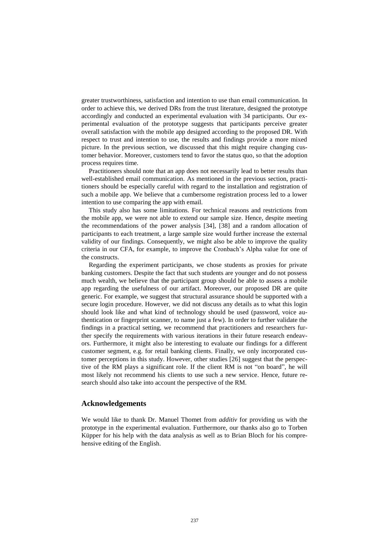greater trustworthiness, satisfaction and intention to use than email communication. In order to achieve this, we derived DRs from the trust literature, designed the prototype accordingly and conducted an experimental evaluation with 34 participants. Our experimental evaluation of the prototype suggests that participants perceive greater overall satisfaction with the mobile app designed according to the proposed DR. With respect to trust and intention to use, the results and findings provide a more mixed picture. In the previous section, we discussed that this might require changing customer behavior. Moreover, customers tend to favor the status quo, so that the adoption process requires time.

Practitioners should note that an app does not necessarily lead to better results than well-established email communication. As mentioned in the previous section, practitioners should be especially careful with regard to the installation and registration of such a mobile app. We believe that a cumbersome registration process led to a lower intention to use comparing the app with email.

This study also has some limitations. For technical reasons and restrictions from the mobile app, we were not able to extend our sample size. Hence, despite meeting the recommendations of the power analysis [34], [38] and a random allocation of participants to each treatment, a large sample size would further increase the external validity of our findings. Consequently, we might also be able to improve the quality criteria in our CFA, for example, to improve the Cronbach's Alpha value for one of the constructs.

Regarding the experiment participants, we chose students as proxies for private banking customers. Despite the fact that such students are younger and do not possess much wealth, we believe that the participant group should be able to assess a mobile app regarding the usefulness of our artifact. Moreover, our proposed DR are quite generic. For example, we suggest that structural assurance should be supported with a secure login procedure. However, we did not discuss any details as to what this login should look like and what kind of technology should be used (password, voice authentication or fingerprint scanner, to name just a few). In order to further validate the findings in a practical setting, we recommend that practitioners and researchers further specify the requirements with various iterations in their future research endeavors. Furthermore, it might also be interesting to evaluate our findings for a different customer segment, e.g. for retail banking clients. Finally, we only incorporated customer perceptions in this study. However, other studies [26] suggest that the perspective of the RM plays a significant role. If the client RM is not "on board", he will most likely not recommend his clients to use such a new service. Hence, future research should also take into account the perspective of the RM.

#### **Acknowledgements**

We would like to thank Dr. Manuel Thomet from *additiv* for providing us with the prototype in the experimental evaluation. Furthermore, our thanks also go to Torben Küpper for his help with the data analysis as well as to Brian Bloch for his comprehensive editing of the English.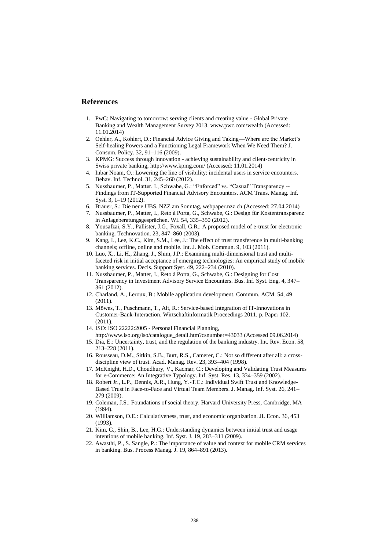### **References**

- 1. PwC: Navigating to tomorrow: serving clients and creating value Global Private Banking and Wealth Management Survey 2013, www.pwc.com/wealth (Accessed: 11.01.2014)
- 2. Oehler, A., Kohlert, D.: Financial Advice Giving and Taking—Where are the Market's Self-healing Powers and a Functioning Legal Framework When We Need Them? J. Consum. Policy. 32, 91–116 (2009).
- 3. KPMG: Success through innovation achieving sustainability and client-centricity in Swiss private banking, http://www.kpmg.com/ (Accessed: 11.01.2014)
- 4. Inbar Noam, O.: Lowering the line of visibility: incidental users in service encounters. Behav. Inf. Technol. 31, 245–260 (2012).
- 5. Nussbaumer, P., Matter, I., Schwabe, G.: "Enforced" vs. "Casual" Transparency -- Findings from IT-Supported Financial Advisory Encounters. ACM Trans. Manag. Inf. Syst. 3, 1–19 (2012).
- 6. Bräuer, S.: Die neue UBS. NZZ am Sonntag, webpaper.nzz.ch (Accessed: 27.04.2014)
- 7. Nussbaumer, P., Matter, I., Reto à Porta, G., Schwabe, G.: Design für Kostentransparenz in Anlageberatungsgesprächen. WI. 54, 335–350 (2012).
- 8. Yousafzai, S.Y., Pallister, J.G., Foxall, G.R.: A proposed model of e-trust for electronic banking. Technovation. 23, 847–860 (2003).
- 9. Kang, I., Lee, K.C., Kim, S.M., Lee, J.: The effect of trust transference in multi-banking channels; offline, online and mobile. Int. J. Mob. Commun. 9, 103 (2011).
- 10. Luo, X., Li, H., Zhang, J., Shim, J.P.: Examining multi-dimensional trust and multifaceted risk in initial acceptance of emerging technologies: An empirical study of mobile banking services. Decis. Support Syst. 49, 222–234 (2010).
- 11. Nussbaumer, P., Matter, I., Reto à Porta, G., Schwabe, G.: Designing for Cost Transparency in Investment Advisory Service Encounters. Bus. Inf. Syst. Eng. 4, 347– 361 (2012).
- 12. Charland, A., Leroux, B.: Mobile application development. Commun. ACM. 54, 49 (2011).
- 13. Möwes, T., Puschmann, T., Alt, R.: Service-based Integration of IT-Innovations in Customer-Bank-Interaction. Wirtschaftinformatik Proceedings 2011. p. Paper 102.  $(2011)$
- 14. ISO: ISO 22222:2005 Personal Financial Planning,
- http://www.iso.org/iso/catalogue\_detail.htm?csnumber=43033 (Accessed 09.06.2014) 15. Dia, E.: Uncertainty, trust, and the regulation of the banking industry. Int. Rev. Econ. 58,
- 213–228 (2011).
- 16. Rousseau, D.M., Sitkin, S.B., Burt, R.S., Camerer, C.: Not so different after all: a crossdiscipline view of trust. Acad. Manag. Rev. 23, 393–404 (1998).
- 17. McKnight, H.D., Choudhury, V., Kacmar, C.: Developing and Validating Trust Measures for e-Commerce: An Integrative Typology. Inf. Syst. Res. 13, 334–359 (2002).
- 18. Robert Jr., L.P., Dennis, A.R., Hung, Y.-T.C.: Individual Swift Trust and Knowledge-Based Trust in Face-to-Face and Virtual Team Members. J. Manag. Inf. Syst. 26, 241– 279 (2009).
- 19. Coleman, J.S.: Foundations of social theory. Harvard University Press, Cambridge, MA  $(1994)$
- 20. Williamson, O.E.: Calculativeness, trust, and economic organization. JL Econ. 36, 453 (1993).
- 21. Kim, G., Shin, B., Lee, H.G.: Understanding dynamics between initial trust and usage intentions of mobile banking. Inf. Syst. J. 19, 283–311 (2009).
- 22. Awasthi, P., S. Sangle, P.: The importance of value and context for mobile CRM services in banking. Bus. Process Manag. J. 19, 864–891 (2013).